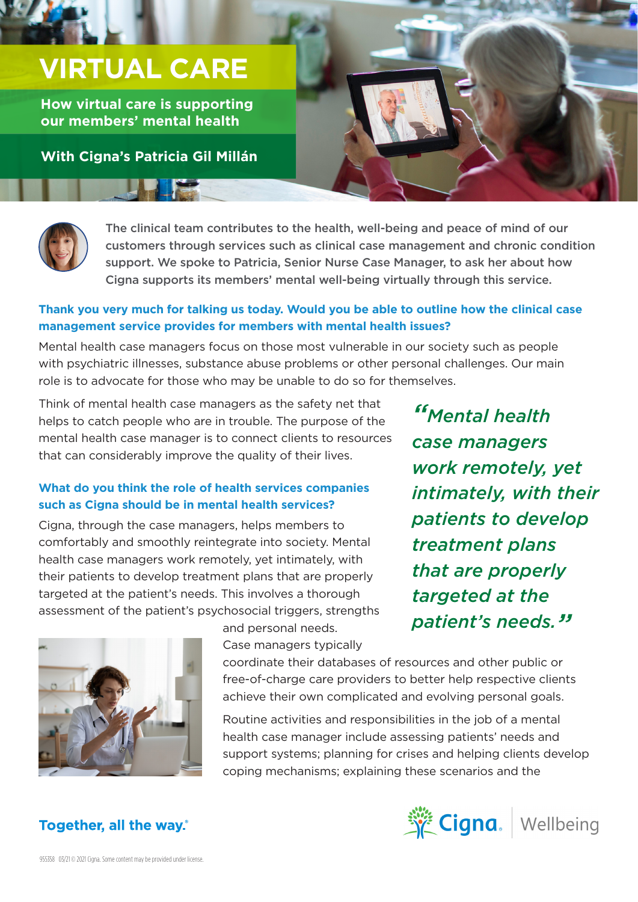# **VIRTUAL CARE**

**How virtual care is supporting our members' mental health**

**With Cigna's Patricia Gil Millán** 

**DIE** 



The clinical team contributes to the health, well-being and peace of mind of our customers through services such as clinical case management and chronic condition support. We spoke to Patricia, Senior Nurse Case Manager, to ask her about how Cigna supports its members' mental well-being virtually through this service.

#### **Thank you very much for talking us today. Would you be able to outline how the clinical case management service provides for members with mental health issues?**

Mental health case managers focus on those most vulnerable in our society such as people with psychiatric illnesses, substance abuse problems or other personal challenges. Our main role is to advocate for those who may be unable to do so for themselves.

Think of mental health case managers as the safety net that helps to catch people who are in trouble. The purpose of the mental health case manager is to connect clients to resources that can considerably improve the quality of their lives.

### **What do you think the role of health services companies such as Cigna should be in mental health services?**

Cigna, through the case managers, helps members to comfortably and smoothly reintegrate into society. Mental health case managers work remotely, yet intimately, with their patients to develop treatment plans that are properly targeted at the patient's needs. This involves a thorough assessment of the patient's psychosocial triggers, strengths

*"Mental health case managers work remotely, yet intimately, with their patients to develop treatment plans that are properly targeted at the patient's needs."*



and personal needs.

Case managers typically coordinate their databases of resources and other public or free-of-charge care providers to better help respective clients

achieve their own complicated and evolving personal goals.

Routine activities and responsibilities in the job of a mental health case manager include assessing patients' needs and support systems; planning for crises and helping clients develop coping mechanisms; explaining these scenarios and the



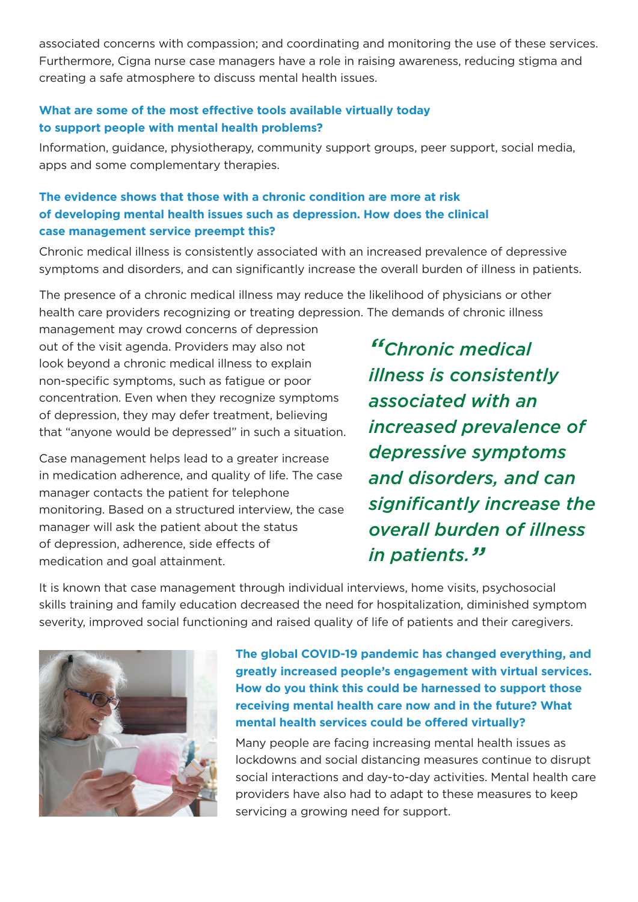associated concerns with compassion; and coordinating and monitoring the use of these services. Furthermore, Cigna nurse case managers have a role in raising awareness, reducing stigma and creating a safe atmosphere to discuss mental health issues.

#### **What are some of the most effective tools available virtually today to support people with mental health problems?**

Information, guidance, physiotherapy, community support groups, peer support, social media, apps and some complementary therapies.

# **The evidence shows that those with a chronic condition are more at risk of developing mental health issues such as depression. How does the clinical case management service preempt this?**

Chronic medical illness is consistently associated with an increased prevalence of depressive symptoms and disorders, and can significantly increase the overall burden of illness in patients.

The presence of a chronic medical illness may reduce the likelihood of physicians or other health care providers recognizing or treating depression. The demands of chronic illness

management may crowd concerns of depression out of the visit agenda. Providers may also not look beyond a chronic medical illness to explain non-specific symptoms, such as fatigue or poor concentration. Even when they recognize symptoms of depression, they may defer treatment, believing that "anyone would be depressed" in such a situation.

Case management helps lead to a greater increase in medication adherence, and quality of life. The case manager contacts the patient for telephone monitoring. Based on a structured interview, the case manager will ask the patient about the status of depression, adherence, side effects of medication and goal attainment.

*"Chronic medical illness is consistently associated with an increased prevalence of depressive symptoms and disorders, and can significantly increase the overall burden of illness in patients."*

It is known that case management through individual interviews, home visits, psychosocial skills training and family education decreased the need for hospitalization, diminished symptom severity, improved social functioning and raised quality of life of patients and their caregivers.



**The global COVID-19 pandemic has changed everything, and greatly increased people's engagement with virtual services. How do you think this could be harnessed to support those receiving mental health care now and in the future? What mental health services could be offered virtually?**

Many people are facing increasing mental health issues as lockdowns and social distancing measures continue to disrupt social interactions and day-to-day activities. Mental health care providers have also had to adapt to these measures to keep servicing a growing need for support.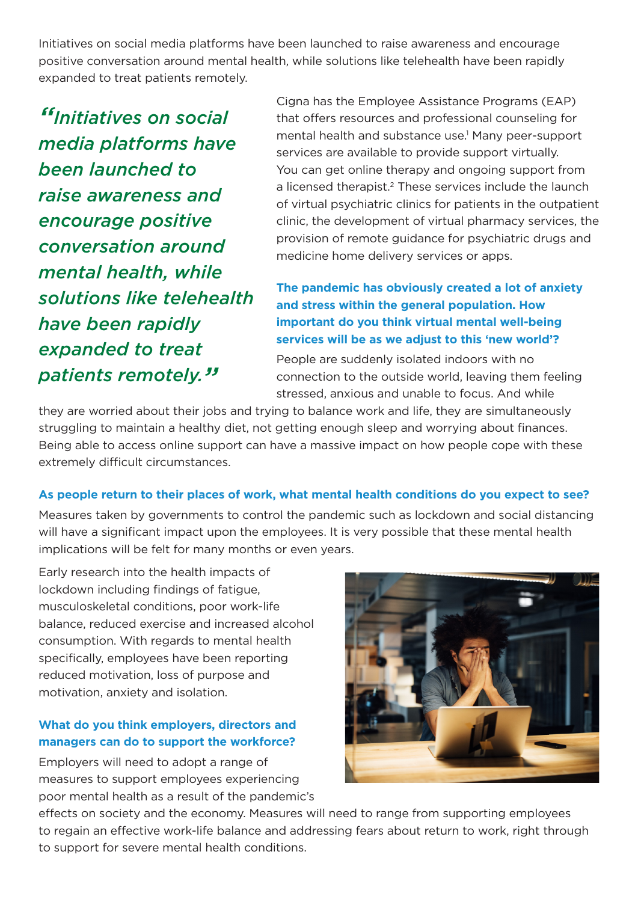Initiatives on social media platforms have been launched to raise awareness and encourage positive conversation around mental health, while solutions like telehealth have been rapidly expanded to treat patients remotely.

*"Initiatives on social media platforms have been launched to raise awareness and encourage positive conversation around mental health, while solutions like telehealth have been rapidly expanded to treat patients remotely."*

Cigna has the Employee Assistance Programs (EAP) that offers resources and professional counseling for mental health and substance use.<sup>1</sup> Many peer-support services are available to provide support virtually. You can get online therapy and ongoing support from a licensed therapist.<sup>2</sup> These services include the launch of virtual psychiatric clinics for patients in the outpatient clinic, the development of virtual pharmacy services, the provision of remote guidance for psychiatric drugs and medicine home delivery services or apps.

# **The pandemic has obviously created a lot of anxiety and stress within the general population. How important do you think virtual mental well-being services will be as we adjust to this 'new world'?**

People are suddenly isolated indoors with no connection to the outside world, leaving them feeling stressed, anxious and unable to focus. And while

they are worried about their jobs and trying to balance work and life, they are simultaneously struggling to maintain a healthy diet, not getting enough sleep and worrying about finances. Being able to access online support can have a massive impact on how people cope with these extremely difficult circumstances.

#### **As people return to their places of work, what mental health conditions do you expect to see?**

Measures taken by governments to control the pandemic such as lockdown and social distancing will have a significant impact upon the employees. It is very possible that these mental health implications will be felt for many months or even years.

Early research into the health impacts of lockdown including findings of fatigue, musculoskeletal conditions, poor work-life balance, reduced exercise and increased alcohol consumption. With regards to mental health specifically, employees have been reporting reduced motivation, loss of purpose and motivation, anxiety and isolation.

### **What do you think employers, directors and managers can do to support the workforce?**

Employers will need to adopt a range of measures to support employees experiencing poor mental health as a result of the pandemic's



effects on society and the economy. Measures will need to range from supporting employees to regain an effective work-life balance and addressing fears about return to work, right through to support for severe mental health conditions.